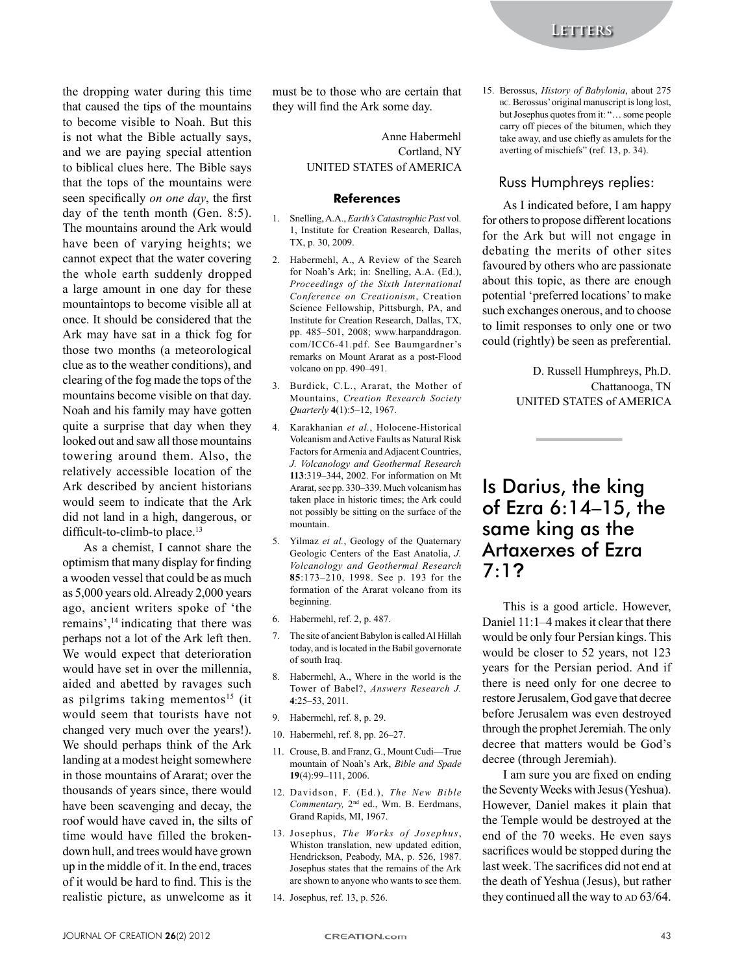the dropping water during this time that caused the tips of the mountains to become visible to Noah. But this is not what the Bible actually says, and we are paying special attention to biblical clues here. The Bible says that the tops of the mountains were seen specifically *on one day*, the first day of the tenth month (Gen. 8:5). The mountains around the Ark would have been of varying heights; we cannot expect that the water covering the whole earth suddenly dropped a large amount in one day for these mountaintops to become visible all at once. It should be considered that the Ark may have sat in a thick fog for those two months (a meteorological clue as to the weather conditions), and clearing of the fog made the tops of the mountains become visible on that day. Noah and his family may have gotten quite a surprise that day when they looked out and saw all those mountains towering around them. Also, the relatively accessible location of the Ark described by ancient historians would seem to indicate that the Ark did not land in a high, dangerous, or difficult-to-climb-to place.<sup>13</sup>

As a chemist, I cannot share the optimism that many display for finding a wooden vessel that could be as much as 5,000 years old. Already 2,000 years ago, ancient writers spoke of 'the remains',<sup>14</sup> indicating that there was perhaps not a lot of the Ark left then. We would expect that deterioration would have set in over the millennia, aided and abetted by ravages such as pilgrims taking mementos<sup>15</sup> (it would seem that tourists have not changed very much over the years!). We should perhaps think of the Ark landing at a modest height somewhere in those mountains of Ararat; over the thousands of years since, there would have been scavenging and decay, the roof would have caved in, the silts of time would have filled the brokendown hull, and trees would have grown up in the middle of it. In the end, traces of it would be hard to find. This is the realistic picture, as unwelcome as it must be to those who are certain that they will find the Ark some day.

> Anne Habermehl Cortland, NY UNITED STATES of AMERICA

#### **References**

- 1. Snelling, A.A., Earth's Catastrophic Past vol. 1. Institute for Creation Research, Dallas, TX, p. 30, 2009.
- $\mathfrak{D}$ Habermehl, A., A Review of the Search for Noah's Ark; in: Snelling, A.A. (Ed.), Proceedings of the Sixth International Conference on Creationism, Creation Science Fellowship, Pittsburgh, PA, and Institute for Creation Research, Dallas, TX, pp. 485-501, 2008; www.harpanddragon. com/ICC6-41.pdf. See Baumgardner's remarks on Mount Ararat as a post-Flood volcano on pp. 490-491.
- 3. Burdick, C.L., Ararat, the Mother of Mountains, Creation Research Societv Ouarterly 4(1):5-12, 1967.
- $4.$ Karakhanian et al., Holocene-Historical Volcanism and Active Faults as Natural Risk Factors for Armenia and Adiacent Countries. J. Volcanology and Geothermal Research 113:319-344, 2002. For information on Mt Ararat, see pp. 330–339. Much volcanism has taken place in historic times; the Ark could not possibly be sitting on the surface of the mountain.
- $5<sub>1</sub>$ Yilmaz et al., Geology of the Quaternary Geologic Centers of the East Anatolia, J. Volcanology and Geothermal Research 85:173-210, 1998. See p. 193 for the formation of the Ararat volcano from its beginning.
- 6. Habermehl, ref. 2, p. 487.
- 7. The site of ancient Babylon is called Al Hillah today, and is located in the Babil governorate of south Iraq.
- 8. Habermehl, A., Where in the world is the Tower of Babel?, Answers Research J.  $4:25-53, 2011.$
- 9. Habermehl, ref. 8, p. 29.
- 10. Habermehl, ref. 8, pp. 26–27.
- 11. Crouse, B. and Franz, G., Mount Cudi-True mountain of Noah's Ark, Bible and Spade 19(4):99-111, 2006.
- 12. Davidson, F. (Ed.), The New Bible Commentary, 2<sup>nd</sup> ed., Wm. B. Eerdmans, Grand Rapids, MI, 1967.
- 13. Josephus, The Works of Josephus, Whiston translation, new updated edition, Hendrickson, Peabody, MA, p. 526, 1987. Josephus states that the remains of the Ark are shown to anyone who wants to see them.
- 14. Josephus, ref. 13, p. 526.

15. Berossus, History of Babylonia, about 275 вс. Berossus' original manuscript is long lost, but Josephus quotes from it: "... some people carry off pieces of the bitumen, which they take away, and use chiefly as amulets for the averting of mischiefs" (ref. 13, p. 34).

#### Russ Humphreys replies:

As I indicated before, I am happy for others to propose different locations for the Ark but will not engage in debating the merits of other sites favoured by others who are passionate about this topic, as there are enough potential 'preferred locations' to make such exchanges onerous, and to choose to limit responses to only one or two could (rightly) be seen as preferential.

> D. Russell Humphreys, Ph.D. Chattanooga, TN UNITED STATES of AMERICA

# Is Darius, the king of Ezra 6:14-15, the same king as the **Artaxerxes of Ezra**  $7:12$

This is a good article. However, Daniel 11:1-4 makes it clear that there would be only four Persian kings. This would be closer to 52 years, not 123 years for the Persian period. And if there is need only for one decree to restore Jerusalem, God gave that decree before Jerusalem was even destroyed through the prophet Jeremiah. The only decree that matters would be God's decree (through Jeremiah).

I am sure you are fixed on ending the Seventy Weeks with Jesus (Yeshua). However, Daniel makes it plain that the Temple would be destroyed at the end of the 70 weeks. He even says sacrifices would be stopped during the last week. The sacrifices did not end at the death of Yeshua (Jesus), but rather they continued all the way to AD 63/64.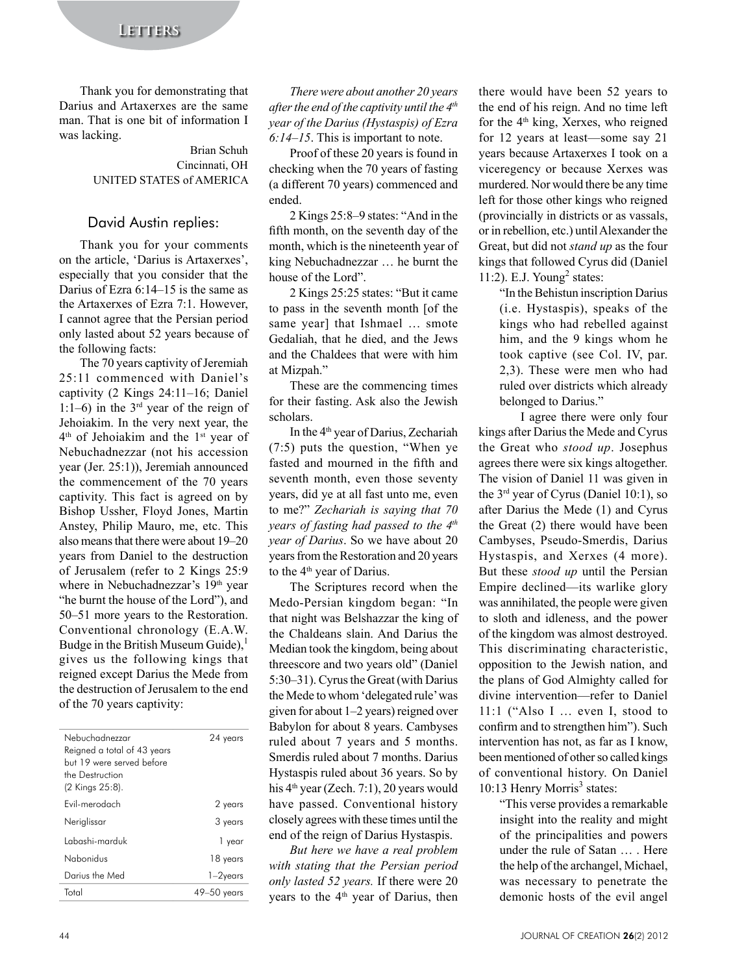## **LETTERS**

Thank you for demonstrating that Darius and Artaxerxes are the same man. That is one bit of information I was lacking.

### **Brian Schuh** Cincinnati, OH UNITED STATES of AMERICA

### David Austin replies:

Thank you for your comments on the article, 'Darius is Artaxerxes', especially that you consider that the Darius of Ezra  $6:14-15$  is the same as the Artaxerxes of Ezra 7:1. However, I cannot agree that the Persian period only lasted about 52 years because of the following facts:

The 70 years captivity of Jeremiah 25:11 commenced with Daniel's captivity (2 Kings 24:11-16; Daniel 1:1-6) in the  $3<sup>rd</sup>$  year of the reign of Jehoiakim. In the very next year, the  $4<sup>th</sup>$  of Jehoiakim and the  $1<sup>st</sup>$  year of Nebuchadnezzar (not his accession year (Jer. 25:1)), Jeremiah announced the commencement of the 70 years captivity. This fact is agreed on by Bishop Ussher, Floyd Jones, Martin Anstey, Philip Mauro, me, etc. This also means that there were about 19–20 years from Daniel to the destruction of Jerusalem (refer to 2 Kings 25:9 where in Nebuchadnezzar's 19th year "he burnt the house of the Lord"), and 50–51 more years to the Restoration. Conventional chronology (E.A.W. Budge in the British Museum Guide). gives us the following kings that reigned except Darius the Mede from the destruction of Jerusalem to the end of the 70 years captivity:

| Nebuchadnezzar<br>Reigned a total of 43 years<br>but 19 were served before<br>the Destruction<br>(2 Kings 25:8). | 24 years    |
|------------------------------------------------------------------------------------------------------------------|-------------|
| Fvil-merodach                                                                                                    | 2 years     |
| Neriglissar                                                                                                      | 3 years     |
| Labashi-marduk                                                                                                   | 1 year      |
| Nabonidus                                                                                                        | 18 years    |
| Darius the Med                                                                                                   | $1-2$ years |
| Total                                                                                                            | 49–50 vears |

There were about another 20 years after the end of the captivity until the  $4<sup>th</sup>$ year of the Darius (Hystaspis) of Ezra  $6:14-15$ . This is important to note.

Proof of these 20 years is found in checking when the 70 years of fasting (a different 70 years) commenced and ended.

2 Kings 25:8–9 states: "And in the fifth month, on the seventh day of the month, which is the nineteenth year of king Nebuchadnezzar ... he burnt the house of the Lord".

2 Kings 25:25 states: "But it came to pass in the seventh month [of the same year] that Ishmael ... smote Gedaliah, that he died, and the Jews and the Chaldees that were with him at Mizpah."

These are the commencing times for their fasting. Ask also the Jewish scholars.

In the 4<sup>th</sup> year of Darius, Zechariah (7:5) puts the question, "When ye fasted and mourned in the fifth and seventh month, even those seventy years, did ye at all fast unto me, even to me?" Zechariah is saying that 70 years of fasting had passed to the 4<sup>th</sup> vear of Darius. So we have about 20 years from the Restoration and 20 years to the 4<sup>th</sup> year of Darius.

The Scriptures record when the Medo-Persian kingdom began: "In that night was Belshazzar the king of the Chaldeans slain. And Darius the Median took the kingdom, being about threescore and two years old" (Daniel 5:30–31). Cyrus the Great (with Darius the Mede to whom 'delegated rule' was given for about  $1-2$  years) reigned over Babylon for about 8 years. Cambyses ruled about 7 years and 5 months. Smerdis ruled about 7 months. Darius Hystaspis ruled about 36 years. So by his  $4<sup>th</sup>$  year (Zech. 7:1), 20 years would have passed. Conventional history closely agrees with these times until the end of the reign of Darius Hystaspis.

But here we have a real problem with stating that the Persian period only lasted 52 years. If there were 20 years to the 4<sup>th</sup> year of Darius, then

there would have been 52 years to the end of his reign. And no time left for the 4<sup>th</sup> king, Xerxes, who reigned for 12 years at least-some say 21 vears because Artaxerxes I took on a viceregency or because Xerxes was murdered. Nor would there be any time left for those other kings who reigned (provincially in districts or as vassals, or in rebellion, etc.) until Alexander the Great, but did not *stand up* as the four kings that followed Cyrus did (Daniel 11:2). E.J. Young<sup>2</sup> states:

> "In the Behistun inscription Darius (i.e. Hystaspis), speaks of the kings who had rebelled against him, and the 9 kings whom he took captive (see Col. IV, par. 2,3). These were men who had ruled over districts which already belonged to Darius."

I agree there were only four kings after Darius the Mede and Cyrus the Great who stood up. Josephus agrees there were six kings altogether. The vision of Daniel 11 was given in the  $3<sup>rd</sup>$  year of Cyrus (Daniel 10:1), so after Darius the Mede (1) and Cyrus the Great (2) there would have been Cambyses, Pseudo-Smerdis, Darius Hystaspis, and Xerxes (4 more). But these *stood up* until the Persian Empire declined—its warlike glory was annihilated, the people were given to sloth and idleness, and the power of the kingdom was almost destroyed. This discriminating characteristic, opposition to the Jewish nation, and the plans of God Almighty called for divine intervention-refer to Daniel  $11:1$  ("Also I ... even I, stood to confirm and to strengthen him"). Such intervention has not, as far as I know, been mentioned of other so called kings of conventional history. On Daniel 10:13 Henry Morris<sup>3</sup> states:

> "This verse provides a remarkable insight into the reality and might of the principalities and powers under the rule of Satan ... . Here the help of the archangel, Michael, was necessary to penetrate the demonic hosts of the evil angel